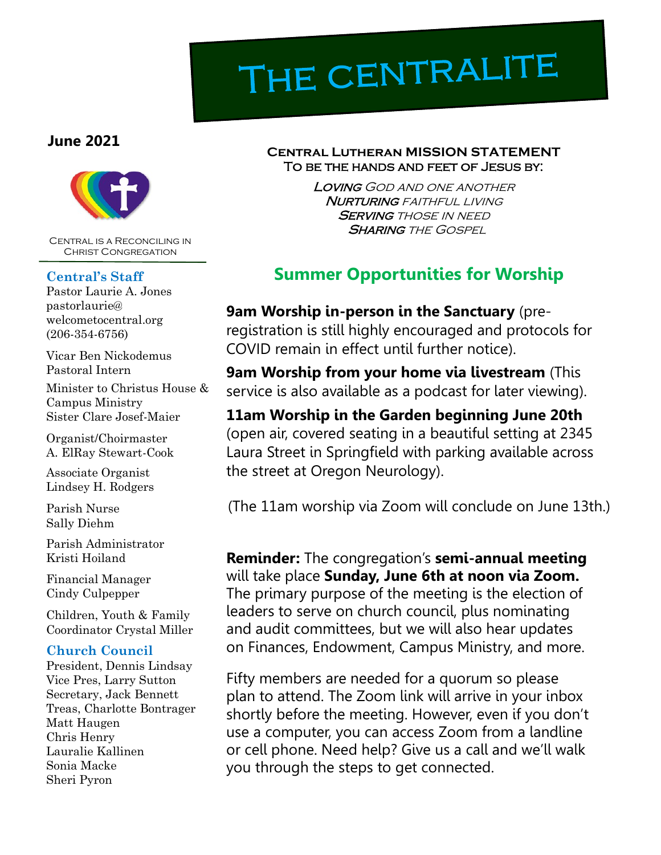# THE CENTRALITE

### **June 2021**



Central is a Reconciling in Christ Congregation

#### **Central's Staff**

Pastor Laurie A. Jones pastorlaurie@ welcometocentral.org (206-354-6756)

Vicar Ben Nickodemus Pastoral Intern

Minister to Christus House & Campus Ministry Sister Clare Josef-Maier

Organist/Choirmaster A. ElRay Stewart-Cook

Associate Organist Lindsey H. Rodgers

Parish Nurse Sally Diehm

Parish Administrator Kristi Hoiland

Financial Manager Cindy Culpepper

Children, Youth & Family Coordinator Crystal Miller

#### **Church Council**

President, Dennis Lindsay Vice Pres, Larry Sutton Secretary, Jack Bennett Treas, Charlotte Bontrager Matt Haugen Chris Henry Lauralie Kallinen Sonia Macke Sheri Pyron

#### **Central Lutheran MISSION STATEMENT** To be the hands and feet of Jesus by:

Loving God and one another **NURTURING** FAITHFUL LIVING **SERVING THOSE IN NEED SHARING THE GOSPEL** 

# **Summer Opportunities for Worship**

**9am Worship in-person in the Sanctuary** (preregistration is still highly encouraged and protocols for COVID remain in effect until further notice).

**9am Worship from your home via livestream** (This service is also available as a podcast for later viewing).

**11am Worship in the Garden beginning June 20th** (open air, covered seating in a beautiful setting at 2345 Laura Street in Springfield with parking available across the street at Oregon Neurology).

(The 11am worship via Zoom will conclude on June 13th.)

**Reminder:** The congregation's **semi-annual meeting**  will take place **Sunday, June 6th at noon via Zoom.**  The primary purpose of the meeting is the election of leaders to serve on church council, plus nominating and audit committees, but we will also hear updates on Finances, Endowment, Campus Ministry, and more.

Fifty members are needed for a quorum so please plan to attend. The Zoom link will arrive in your inbox shortly before the meeting. However, even if you don't use a computer, you can access Zoom from a landline or cell phone. Need help? Give us a call and we'll walk you through the steps to get connected.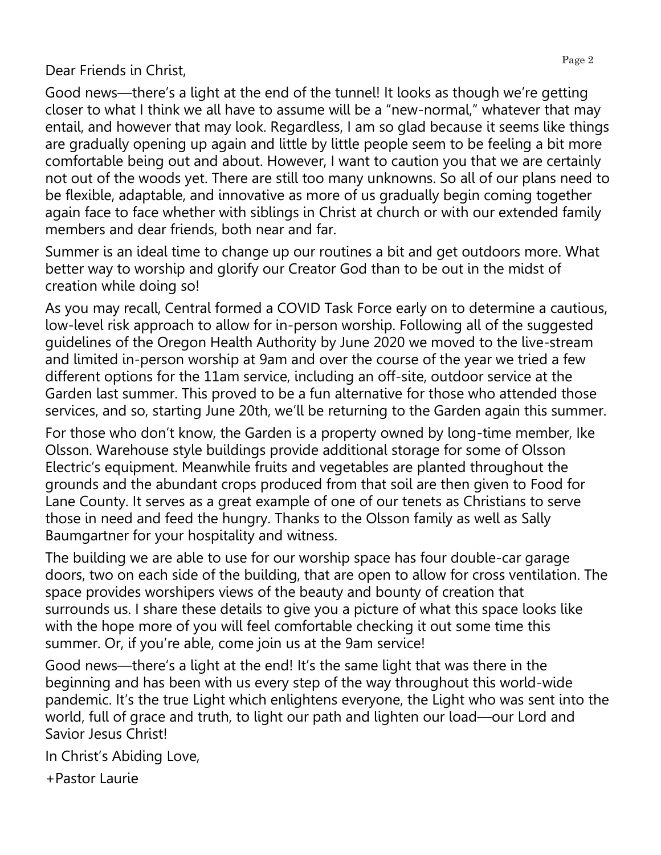## Dear Friends in Christ,

Good news—there's a light at the end of the tunnel! It looks as though we're getting closer to what I think we all have to assume will be a "new-normal," whatever that may entail, and however that may look. Regardless, I am so glad because it seems like things are gradually opening up again and little by little people seem to be feeling a bit more comfortable being out and about. However, I want to caution you that we are certainly not out of the woods yet. There are still too many unknowns. So all of our plans need to be flexible, adaptable, and innovative as more of us gradually begin coming together again face to face whether with siblings in Christ at church or with our extended family members and dear friends, both near and far.

Summer is an ideal time to change up our routines a bit and get outdoors more. What better way to worship and glorify our Creator God than to be out in the midst of creation while doing so!

As you may recall, Central formed a COVID Task Force early on to determine a cautious, low-level risk approach to allow for in-person worship. Following all of the suggested guidelines of the Oregon Health Authority by June 2020 we moved to the live-stream and limited in-person worship at 9am and over the course of the year we tried a few different options for the 11am service, including an off-site, outdoor service at the Garden last summer. This proved to be a fun alternative for those who attended those services, and so, starting June 20th, we'll be returning to the Garden again this summer.

For those who don't know, the Garden is a property owned by long-time member, Ike Olsson. Warehouse style buildings provide additional storage for some of Olsson Electric's equipment. Meanwhile fruits and vegetables are planted throughout the grounds and the abundant crops produced from that soil are then given to Food for Lane County. It serves as a great example of one of our tenets as Christians to serve those in need and feed the hungry. Thanks to the Olsson family as well as Sally Baumgartner for your hospitality and witness.

The building we are able to use for our worship space has four double-car garage doors, two on each side of the building, that are open to allow for cross ventilation. The space provides worshipers views of the beauty and bounty of creation that surrounds us. I share these details to give you a picture of what this space looks like with the hope more of you will feel comfortable checking it out some time this summer. Or, if you're able, come join us at the 9am service!

Good news—there's a light at the end! It's the same light that was there in the beginning and has been with us every step of the way throughout this world-wide pandemic. It's the true Light which enlightens everyone, the Light who was sent into the world, full of grace and truth, to light our path and lighten our load—our Lord and Savior Jesus Christ!

In Christ's Abiding Love,

+Pastor Laurie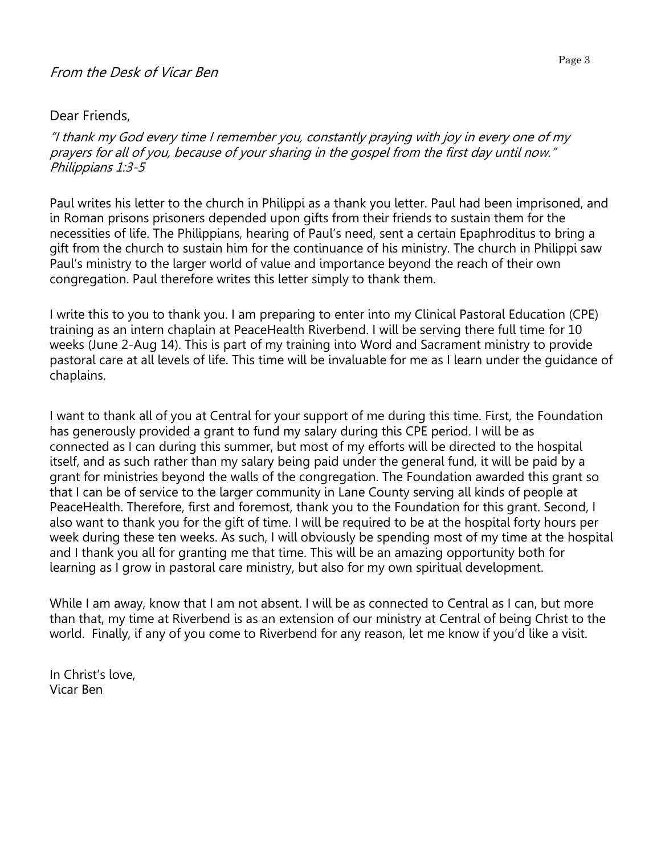#### Dear Friends,

"I thank my God every time I remember you, constantly praying with joy in every one of my prayers for all of you, because of your sharing in the gospel from the first day until now." Philippians 1:3-5

Paul writes his letter to the church in Philippi as a thank you letter. Paul had been imprisoned, and in Roman prisons prisoners depended upon gifts from their friends to sustain them for the necessities of life. The Philippians, hearing of Paul's need, sent a certain Epaphroditus to bring a gift from the church to sustain him for the continuance of his ministry. The church in Philippi saw Paul's ministry to the larger world of value and importance beyond the reach of their own congregation. Paul therefore writes this letter simply to thank them.

I write this to you to thank you. I am preparing to enter into my Clinical Pastoral Education (CPE) training as an intern chaplain at PeaceHealth Riverbend. I will be serving there full time for 10 weeks (June 2-Aug 14). This is part of my training into Word and Sacrament ministry to provide pastoral care at all levels of life. This time will be invaluable for me as I learn under the guidance of chaplains.

I want to thank all of you at Central for your support of me during this time. First, the Foundation has generously provided a grant to fund my salary during this CPE period. I will be as connected as I can during this summer, but most of my efforts will be directed to the hospital itself, and as such rather than my salary being paid under the general fund, it will be paid by a grant for ministries beyond the walls of the congregation. The Foundation awarded this grant so that I can be of service to the larger community in Lane County serving all kinds of people at PeaceHealth. Therefore, first and foremost, thank you to the Foundation for this grant. Second, I also want to thank you for the gift of time. I will be required to be at the hospital forty hours per week during these ten weeks. As such, I will obviously be spending most of my time at the hospital and I thank you all for granting me that time. This will be an amazing opportunity both for learning as I grow in pastoral care ministry, but also for my own spiritual development.

While I am away, know that I am not absent. I will be as connected to Central as I can, but more than that, my time at Riverbend is as an extension of our ministry at Central of being Christ to the world. Finally, if any of you come to Riverbend for any reason, let me know if you'd like a visit.

In Christ's love, Vicar Ben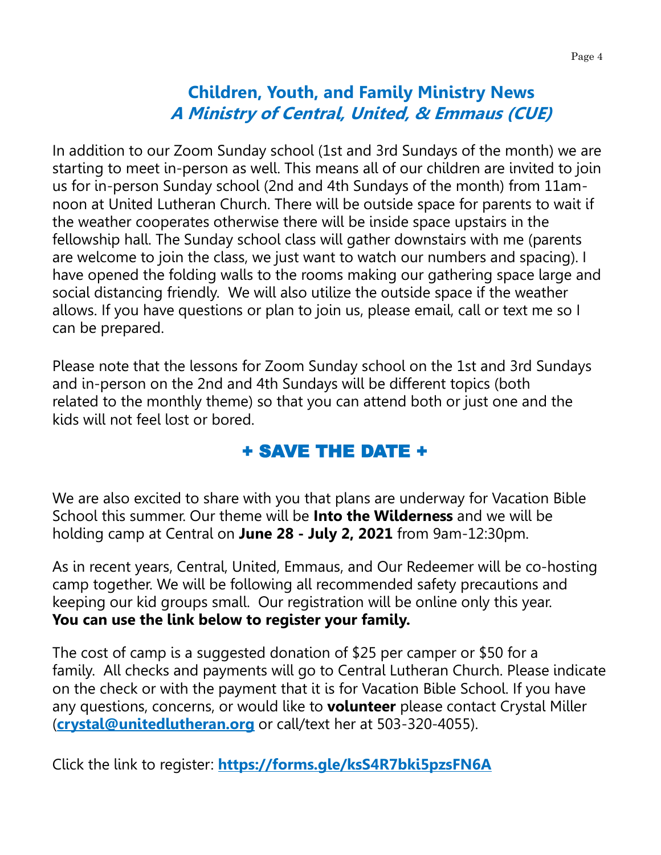# **Children, Youth, and Family Ministry News A Ministry of Central, United, & Emmaus (CUE)**

In addition to our Zoom Sunday school (1st and 3rd Sundays of the month) we are starting to meet in-person as well. This means all of our children are invited to join us for in-person Sunday school (2nd and 4th Sundays of the month) from 11amnoon at United Lutheran Church. There will be outside space for parents to wait if the weather cooperates otherwise there will be inside space upstairs in the fellowship hall. The Sunday school class will gather downstairs with me (parents are welcome to join the class, we just want to watch our numbers and spacing). I have opened the folding walls to the rooms making our gathering space large and social distancing friendly. We will also utilize the outside space if the weather allows. If you have questions or plan to join us, please email, call or text me so I can be prepared.

Please note that the lessons for Zoom Sunday school on the 1st and 3rd Sundays and in-person on the 2nd and 4th Sundays will be different topics (both related to the monthly theme) so that you can attend both or just one and the kids will not feel lost or bored.

## + SAVE THE DATE +

We are also excited to share with you that plans are underway for Vacation Bible School this summer. Our theme will be **Into the Wilderness** and we will be holding camp at Central on **June 28 - July 2, 2021** from 9am-12:30pm.

As in recent years, Central, United, Emmaus, and Our Redeemer will be co-hosting camp together. We will be following all recommended safety precautions and keeping our kid groups small. Our registration will be online only this year. **You can use the link below to register your family.**

The cost of camp is a suggested donation of \$25 per camper or \$50 for a family. All checks and payments will go to Central Lutheran Church. Please indicate on the check or with the payment that it is for Vacation Bible School. If you have any questions, concerns, or would like to **volunteer** please contact Crystal Miller (**[crystal@unitedlutheran.org](mailto:crystak@unitedlutheran.org)** or call/text her at 503-320-4055).

Click the link to register: **<https://forms.gle/ksS4R7bki5pzsFN6A>**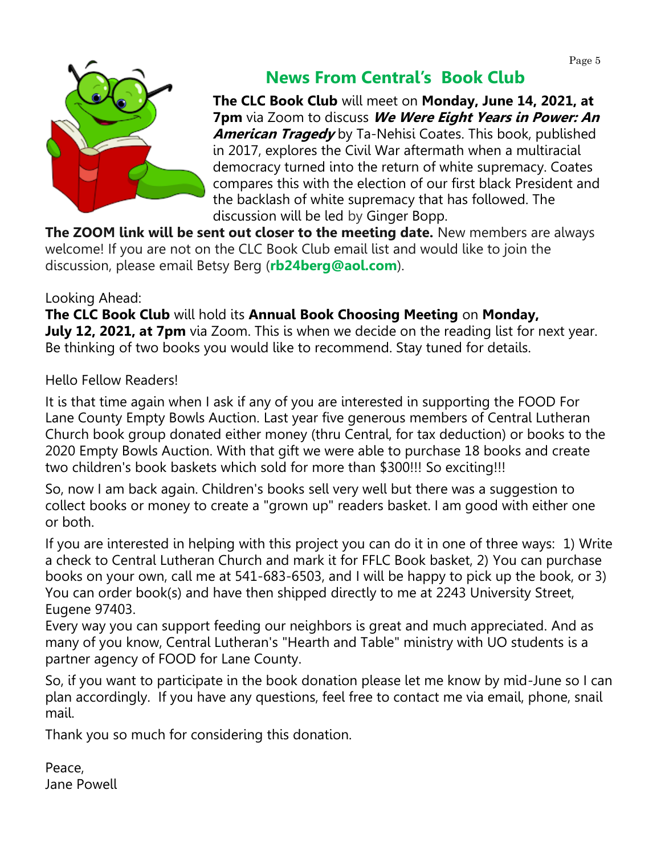

# **News From Central's Book Club**

**The CLC Book Club** will meet on **Monday, June 14, 2021, at 7pm** via Zoom to discuss **We Were Eight Years in Power: An American Tragedy** by Ta-Nehisi Coates. This book, published in 2017, explores the Civil War aftermath when a multiracial democracy turned into the return of white supremacy. Coates compares this with the election of our first black President and the backlash of white supremacy that has followed. The discussion will be led by Ginger Bopp.

**The ZOOM link will be sent out closer to the meeting date.** New members are always welcome! If you are not on the CLC Book Club email list and would like to join the discussion, please email Betsy Berg (**[rb24berg@aol.com](mailto:rb24berg@aol.com)**).

## Looking Ahead:

**The CLC Book Club** will hold its **Annual Book Choosing Meeting** on **Monday, July 12, 2021, at 7pm** via Zoom. This is when we decide on the reading list for next year. Be thinking of two books you would like to recommend. Stay tuned for details.

Hello Fellow Readers!

It is that time again when I ask if any of you are interested in supporting the FOOD For Lane County Empty Bowls Auction. Last year five generous members of Central Lutheran Church book group donated either money (thru Central, for tax deduction) or books to the 2020 Empty Bowls Auction. With that gift we were able to purchase 18 books and create two children's book baskets which sold for more than \$300!!! So exciting!!!

So, now I am back again. Children's books sell very well but there was a suggestion to collect books or money to create a "grown up" readers basket. I am good with either one or both.

If you are interested in helping with this project you can do it in one of three ways: 1) Write a check to Central Lutheran Church and mark it for FFLC Book basket, 2) You can purchase books on your own, call me at 541-683-6503, and I will be happy to pick up the book, or 3) You can order book(s) and have then shipped directly to me at 2243 University Street, Eugene 97403.

Every way you can support feeding our neighbors is great and much appreciated. And as many of you know, Central Lutheran's "Hearth and Table" ministry with UO students is a partner agency of FOOD for Lane County.

So, if you want to participate in the book donation please let me know by mid-June so I can plan accordingly. If you have any questions, feel free to contact me via email, phone, snail mail.

Thank you so much for considering this donation.

Peace, Jane Powell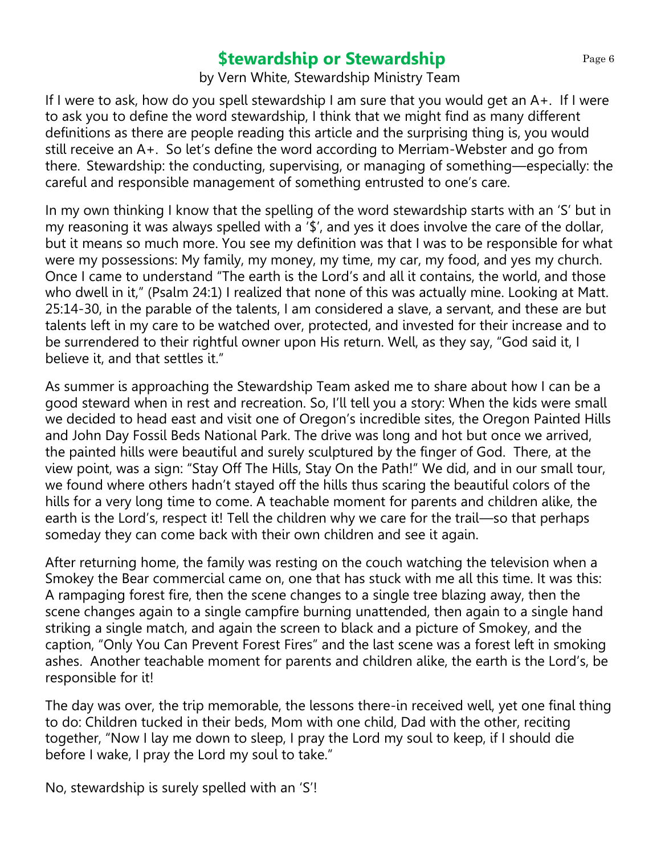## **\$tewardship or Stewardship** Page 6

by Vern White, Stewardship Ministry Team

If I were to ask, how do you spell stewardship I am sure that you would get an A+. If I were to ask you to define the word stewardship, I think that we might find as many different definitions as there are people reading this article and the surprising thing is, you would still receive an A+. So let's define the word according to Merriam-Webster and go from there. Stewardship: the conducting, supervising, or managing of something—especially: the careful and responsible management of something entrusted to one's care.

In my own thinking I know that the spelling of the word stewardship starts with an 'S' but in my reasoning it was always spelled with a '\$', and yes it does involve the care of the dollar, but it means so much more. You see my definition was that I was to be responsible for what were my possessions: My family, my money, my time, my car, my food, and yes my church. Once I came to understand "The earth is the Lord's and all it contains, the world, and those who dwell in it," (Psalm 24:1) I realized that none of this was actually mine. Looking at Matt. 25:14-30, in the parable of the talents, I am considered a slave, a servant, and these are but talents left in my care to be watched over, protected, and invested for their increase and to be surrendered to their rightful owner upon His return. Well, as they say, "God said it, I believe it, and that settles it."

As summer is approaching the Stewardship Team asked me to share about how I can be a good steward when in rest and recreation. So, I'll tell you a story: When the kids were small we decided to head east and visit one of Oregon's incredible sites, the Oregon Painted Hills and John Day Fossil Beds National Park. The drive was long and hot but once we arrived, the painted hills were beautiful and surely sculptured by the finger of God. There, at the view point, was a sign: "Stay Off The Hills, Stay On the Path!" We did, and in our small tour, we found where others hadn't stayed off the hills thus scaring the beautiful colors of the hills for a very long time to come. A teachable moment for parents and children alike, the earth is the Lord's, respect it! Tell the children why we care for the trail—so that perhaps someday they can come back with their own children and see it again.

After returning home, the family was resting on the couch watching the television when a Smokey the Bear commercial came on, one that has stuck with me all this time. It was this: A rampaging forest fire, then the scene changes to a single tree blazing away, then the scene changes again to a single campfire burning unattended, then again to a single hand striking a single match, and again the screen to black and a picture of Smokey, and the caption, "Only You Can Prevent Forest Fires" and the last scene was a forest left in smoking ashes. Another teachable moment for parents and children alike, the earth is the Lord's, be responsible for it!

The day was over, the trip memorable, the lessons there-in received well, yet one final thing to do: Children tucked in their beds, Mom with one child, Dad with the other, reciting together, "Now I lay me down to sleep, I pray the Lord my soul to keep, if I should die before I wake, I pray the Lord my soul to take."

No, stewardship is surely spelled with an 'S'!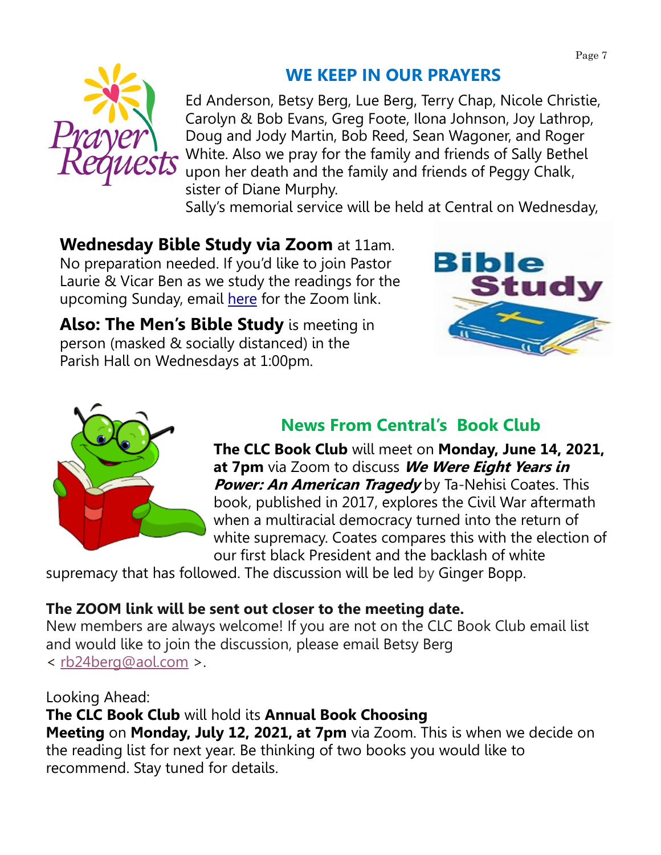

# **WE KEEP IN OUR PRAYERS**

Ed Anderson, Betsy Berg, Lue Berg, Terry Chap, Nicole Christie, Carolyn & Bob Evans, Greg Foote, Ilona Johnson, Joy Lathrop, Doug and Jody Martin, Bob Reed, Sean Wagoner, and Roger White. Also we pray for the family and friends of Sally Bethel upon her death and the family and friends of Peggy Chalk, sister of Diane Murphy.

Sally's memorial service will be held at Central on Wednesday,

**Wednesday Bible Study via Zoom** at 11am. No preparation needed. If you'd like to join Pastor Laurie & Vicar Ben as we study the readings for the upcoming Sunday, email [here](mailto:vicarben@welcometocentral.org?subject=Please%20send%20me%20the%20link%20for%20the%20Bible%20Study) for the Zoom link.

**Also: The Men's Bible Study** is meeting in person (masked & socially distanced) in the Parish Hall on Wednesdays at 1:00pm.





# **News From Central's Book Club**

**The CLC Book Club** will meet on **Monday, June 14, 2021, at 7pm** via Zoom to discuss **We Were Eight Years in Power: An American Tragedy** by Ta-Nehisi Coates. This book, published in 2017, explores the Civil War aftermath when a multiracial democracy turned into the return of white supremacy. Coates compares this with the election of our first black President and the backlash of white

supremacy that has followed. The discussion will be led by Ginger Bopp.

## **The ZOOM link will be sent out closer to the meeting date.**

New members are always welcome! If you are not on the CLC Book Club email list and would like to join the discussion, please email Betsy Berg < [rb24berg@aol.com](mailto:rb24berg@aol.com) >.

Looking Ahead: **The CLC Book Club** will hold its **Annual Book Choosing Meeting** on **Monday, July 12, 2021, at 7pm** via Zoom. This is when we decide on the reading list for next year. Be thinking of two books you would like to recommend. Stay tuned for details.